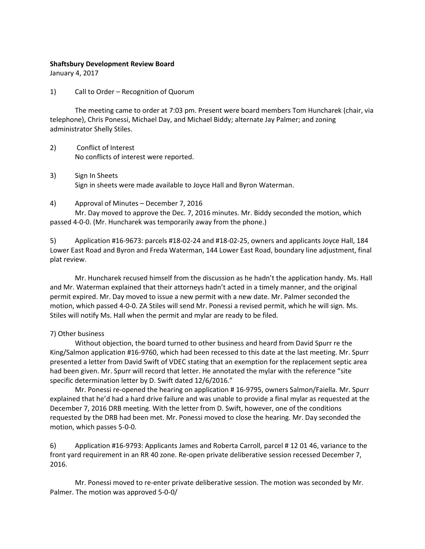## **Shaftsbury Development Review Board**

January 4, 2017

1) Call to Order – Recognition of Quorum

The meeting came to order at 7:03 pm. Present were board members Tom Huncharek (chair, via telephone), Chris Ponessi, Michael Day, and Michael Biddy; alternate Jay Palmer; and zoning administrator Shelly Stiles.

- 2) Conflict of Interest No conflicts of interest were reported.
- 3) Sign In Sheets Sign in sheets were made available to Joyce Hall and Byron Waterman.
- 4) Approval of Minutes December 7, 2016

Mr. Day moved to approve the Dec. 7, 2016 minutes. Mr. Biddy seconded the motion, which passed 4-0-0. (Mr. Huncharek was temporarily away from the phone.)

5) Application #16-9673: parcels #18-02-24 and #18-02-25, owners and applicants Joyce Hall, 184 Lower East Road and Byron and Freda Waterman, 144 Lower East Road, boundary line adjustment, final plat review.

Mr. Huncharek recused himself from the discussion as he hadn't the application handy. Ms. Hall and Mr. Waterman explained that their attorneys hadn't acted in a timely manner, and the original permit expired. Mr. Day moved to issue a new permit with a new date. Mr. Palmer seconded the motion, which passed 4-0-0. ZA Stiles will send Mr. Ponessi a revised permit, which he will sign. Ms. Stiles will notify Ms. Hall when the permit and mylar are ready to be filed.

## 7) Other business

Without objection, the board turned to other business and heard from David Spurr re the King/Salmon application #16-9760, which had been recessed to this date at the last meeting. Mr. Spurr presented a letter from David Swift of VDEC stating that an exemption for the replacement septic area had been given. Mr. Spurr will record that letter. He annotated the mylar with the reference "site specific determination letter by D. Swift dated 12/6/2016."

Mr. Ponessi re-opened the hearing on application # 16-9795, owners Salmon/Faiella. Mr. Spurr explained that he'd had a hard drive failure and was unable to provide a final mylar as requested at the December 7, 2016 DRB meeting. With the letter from D. Swift, however, one of the conditions requested by the DRB had been met. Mr. Ponessi moved to close the hearing. Mr. Day seconded the motion, which passes 5-0-0.

6) Application #16-9793: Applicants James and Roberta Carroll, parcel # 12 01 46, variance to the front yard requirement in an RR 40 zone. Re-open private deliberative session recessed December 7, 2016.

Mr. Ponessi moved to re-enter private deliberative session. The motion was seconded by Mr. Palmer. The motion was approved 5-0-0/